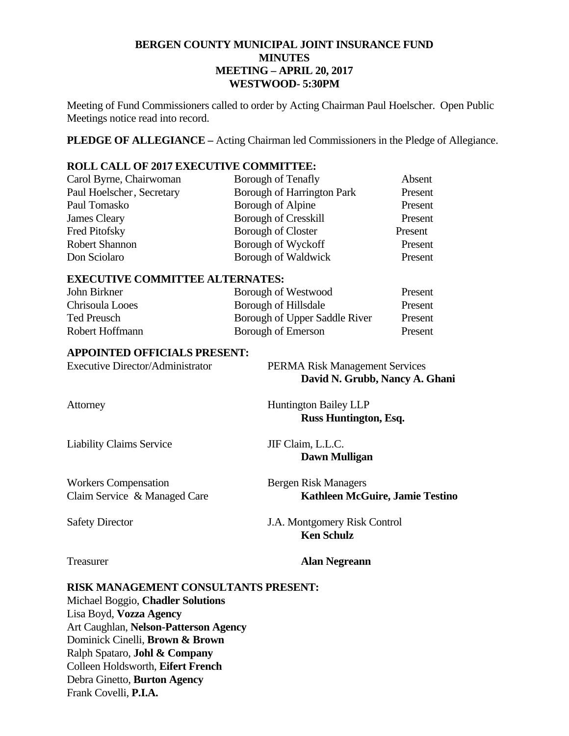# **BERGEN COUNTY MUNICIPAL JOINT INSURANCE FUND MINUTES MEETING – APRIL 20, 2017 WESTWOOD- 5:30PM**

Meeting of Fund Commissioners called to order by Acting Chairman Paul Hoelscher. Open Public Meetings notice read into record.

**PLEDGE OF ALLEGIANCE –** Acting Chairman led Commissioners in the Pledge of Allegiance.

# **ROLL CALL OF 2017 EXECUTIVE COMMITTEE:**

| Carol Byrne, Chairwoman   | Borough of Tenafly                | Absent  |
|---------------------------|-----------------------------------|---------|
| Paul Hoelscher, Secretary | <b>Borough of Harrington Park</b> | Present |
| Paul Tomasko              | Borough of Alpine                 | Present |
| James Cleary              | <b>Borough of Cresskill</b>       | Present |
| Fred Pitofsky             | <b>Borough of Closter</b>         | Present |
| <b>Robert Shannon</b>     | Borough of Wyckoff                | Present |
| Don Sciolaro              | Borough of Waldwick               | Present |

#### **EXECUTIVE COMMITTEE ALTERNATES:**

| John Birkner    | Borough of Westwood           | Present |
|-----------------|-------------------------------|---------|
| Chrisoula Looes | Borough of Hillsdale          | Present |
| Ted Preusch     | Borough of Upper Saddle River | Present |
| Robert Hoffmann | Borough of Emerson            | Present |

#### **APPOINTED OFFICIALS PRESENT:**

| <b>Executive Director/Administrator</b> | <b>PERMA Risk Management Services</b> |
|-----------------------------------------|---------------------------------------|
|                                         | David N. Grubb, Nancy A. Ghani        |
| Attorney                                | <b>Huntington Bailey LLP</b>          |
|                                         | Russ Huntington, Esq.                 |
|                                         |                                       |

Liability Claims Service JIF Claim, L.L.C.

Workers Compensation Bergen Risk Managers Claim Service & Managed Care **Kathleen McGuire, Jamie Testino** 

Safety Director J.A. Montgomery Risk Control

#### Treasurer **Alan Negreann**

 **Ken Schulz** 

**Dawn Mulligan** 

### **RISK MANAGEMENT CONSULTANTS PRESENT:**

Michael Boggio, **Chadler Solutions**  Lisa Boyd, **Vozza Agency**  Art Caughlan, **Nelson-Patterson Agency**  Dominick Cinelli, **Brown & Brown** Ralph Spataro, **Johl & Company** Colleen Holdsworth, **Eifert French**  Debra Ginetto, **Burton Agency**  Frank Covelli, **P.I.A.**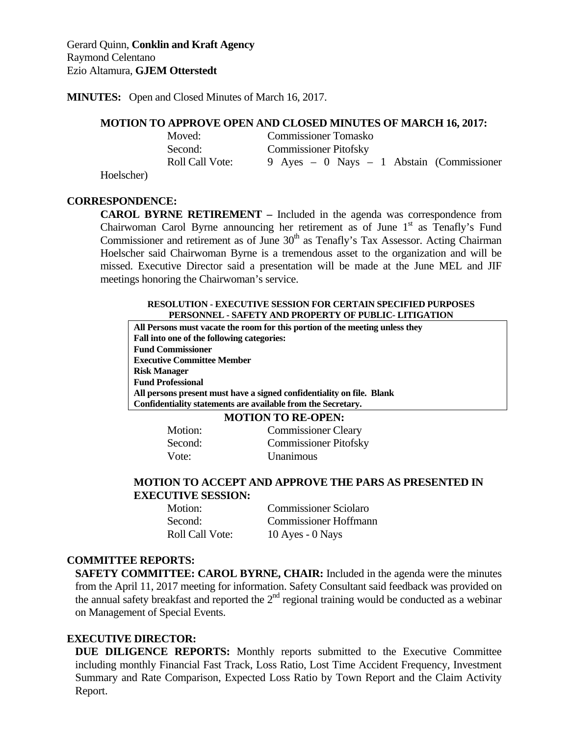**MINUTES:** Open and Closed Minutes of March 16, 2017.

#### **MOTION TO APPROVE OPEN AND CLOSED MINUTES OF MARCH 16, 2017:**

|                           | Moved:                 | <b>Commissioner Tomasko</b>                   |
|---------------------------|------------------------|-----------------------------------------------|
|                           | Second:                | <b>Commissioner Pitofsky</b>                  |
|                           | <b>Roll Call Vote:</b> | 9 Ayes $-$ 0 Nays $-$ 1 Abstain (Commissioner |
| $\mathbf{L}_{\mathbf{Q}}$ |                        |                                               |

Hoelscher)

#### **CORRESPONDENCE:**

**CAROL BYRNE RETIREMENT –** Included in the agenda was correspondence from Chairwoman Carol Byrne announcing her retirement as of June  $1<sup>st</sup>$  as Tenafly's Fund Commissioner and retirement as of June  $30<sup>th</sup>$  as Tenafly's Tax Assessor. Acting Chairman Hoelscher said Chairwoman Byrne is a tremendous asset to the organization and will be missed. Executive Director said a presentation will be made at the June MEL and JIF meetings honoring the Chairwoman's service.

#### **RESOLUTION - EXECUTIVE SESSION FOR CERTAIN SPECIFIED PURPOSES PERSONNEL - SAFETY AND PROPERTY OF PUBLIC- LITIGATION**

| All Persons must vacate the room for this portion of the meeting unless they |
|------------------------------------------------------------------------------|
| Fall into one of the following categories:                                   |
| <b>Fund Commissioner</b>                                                     |
| <b>Executive Committee Member</b>                                            |
| <b>Risk Manager</b>                                                          |
| <b>Fund Professional</b>                                                     |
| All persons present must have a signed confidentiality on file. Blank        |
| Confidentiality statements are available from the Secretary.                 |

#### **MOTION TO RE-OPEN:**

Motion: Commissioner Cleary Second: Commissioner Pitofsky Vote: Unanimous

# **MOTION TO ACCEPT AND APPROVE THE PARS AS PRESENTED IN EXECUTIVE SESSION:**

 Motion: Commissioner Sciolaro Second: Commissioner Hoffmann Roll Call Vote: 10 Ayes - 0 Nays

### **COMMITTEE REPORTS:**

**SAFETY COMMITTEE: CAROL BYRNE, CHAIR:** Included in the agenda were the minutes from the April 11, 2017 meeting for information. Safety Consultant said feedback was provided on the annual safety breakfast and reported the  $2<sup>nd</sup>$  regional training would be conducted as a webinar on Management of Special Events.

### **EXECUTIVE DIRECTOR:**

**DUE DILIGENCE REPORTS:** Monthly reports submitted to the Executive Committee including monthly Financial Fast Track, Loss Ratio, Lost Time Accident Frequency, Investment Summary and Rate Comparison, Expected Loss Ratio by Town Report and the Claim Activity Report.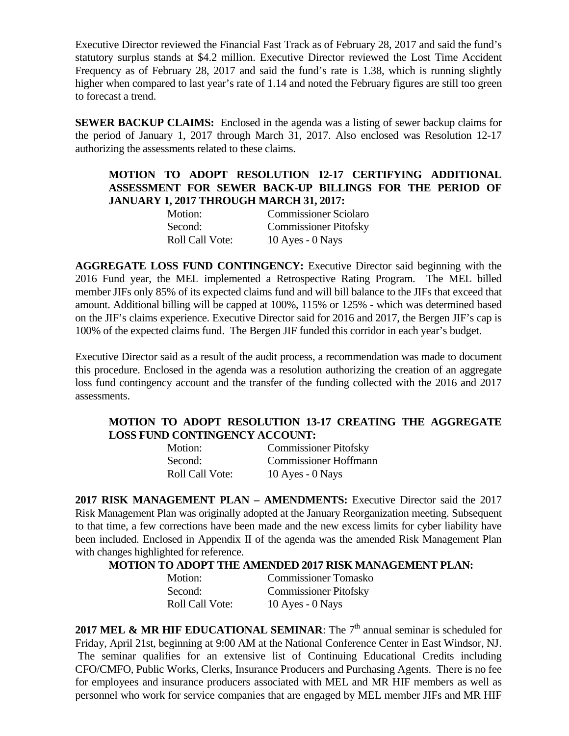Executive Director reviewed the Financial Fast Track as of February 28, 2017 and said the fund's statutory surplus stands at \$4.2 million. Executive Director reviewed the Lost Time Accident Frequency as of February 28, 2017 and said the fund's rate is 1.38, which is running slightly higher when compared to last year's rate of 1.14 and noted the February figures are still too green to forecast a trend.

**SEWER BACKUP CLAIMS:** Enclosed in the agenda was a listing of sewer backup claims for the period of January 1, 2017 through March 31, 2017. Also enclosed was Resolution 12-17 authorizing the assessments related to these claims.

# **MOTION TO ADOPT RESOLUTION 12-17 CERTIFYING ADDITIONAL ASSESSMENT FOR SEWER BACK-UP BILLINGS FOR THE PERIOD OF JANUARY 1, 2017 THROUGH MARCH 31, 2017:**

| Motion:                | <b>Commissioner Sciolaro</b> |
|------------------------|------------------------------|
| Second:                | <b>Commissioner Pitofsky</b> |
| <b>Roll Call Vote:</b> | 10 Ayes - $0$ Nays           |

**AGGREGATE LOSS FUND CONTINGENCY:** Executive Director said beginning with the 2016 Fund year, the MEL implemented a Retrospective Rating Program. The MEL billed member JIFs only 85% of its expected claims fund and will bill balance to the JIFs that exceed that amount. Additional billing will be capped at 100%, 115% or 125% - which was determined based on the JIF's claims experience. Executive Director said for 2016 and 2017, the Bergen JIF's cap is 100% of the expected claims fund. The Bergen JIF funded this corridor in each year's budget.

Executive Director said as a result of the audit process, a recommendation was made to document this procedure. Enclosed in the agenda was a resolution authorizing the creation of an aggregate loss fund contingency account and the transfer of the funding collected with the 2016 and 2017 assessments.

# **MOTION TO ADOPT RESOLUTION 13-17 CREATING THE AGGREGATE LOSS FUND CONTINGENCY ACCOUNT:**

| Motion:                | <b>Commissioner Pitofsky</b> |
|------------------------|------------------------------|
| Second:                | <b>Commissioner Hoffmann</b> |
| <b>Roll Call Vote:</b> | 10 Ayes - $0$ Nays           |

**2017 RISK MANAGEMENT PLAN – AMENDMENTS:** Executive Director said the 2017 Risk Management Plan was originally adopted at the January Reorganization meeting. Subsequent to that time, a few corrections have been made and the new excess limits for cyber liability have been included. Enclosed in Appendix II of the agenda was the amended Risk Management Plan with changes highlighted for reference.

### **MOTION TO ADOPT THE AMENDED 2017 RISK MANAGEMENT PLAN:**

| Motion:         | <b>Commissioner Tomasko</b>  |
|-----------------|------------------------------|
| Second:         | <b>Commissioner Pitofsky</b> |
| Roll Call Vote: | 10 Ayes - $0$ Nays           |

**2017 MEL & MR HIF EDUCATIONAL SEMINAR:** The  $7<sup>th</sup>$  annual seminar is scheduled for Friday, April 21st, beginning at 9:00 AM at the National Conference Center in East Windsor, NJ. The seminar qualifies for an extensive list of Continuing Educational Credits including CFO/CMFO, Public Works, Clerks, Insurance Producers and Purchasing Agents. There is no fee for employees and insurance producers associated with MEL and MR HIF members as well as personnel who work for service companies that are engaged by MEL member JIFs and MR HIF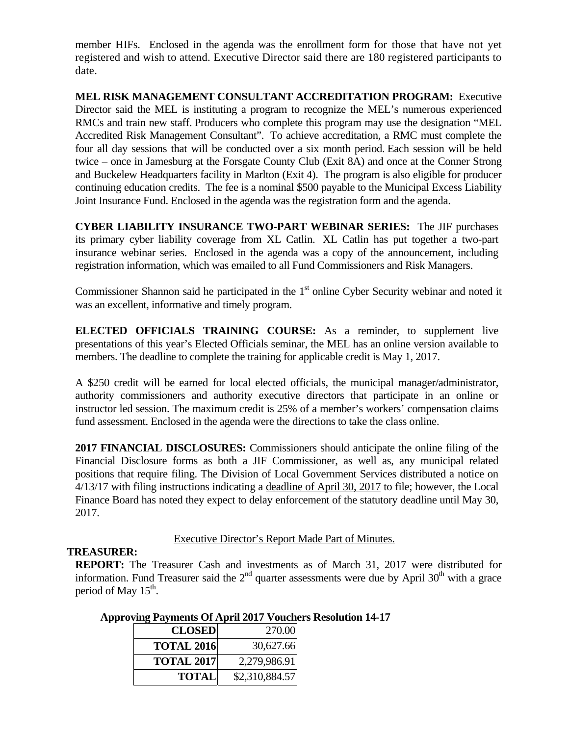member HIFs. Enclosed in the agenda was the enrollment form for those that have not yet registered and wish to attend. Executive Director said there are 180 registered participants to date.

**MEL RISK MANAGEMENT CONSULTANT ACCREDITATION PROGRAM:** Executive Director said the MEL is instituting a program to recognize the MEL's numerous experienced RMCs and train new staff. Producers who complete this program may use the designation "MEL Accredited Risk Management Consultant". To achieve accreditation, a RMC must complete the four all day sessions that will be conducted over a six month period. Each session will be held twice – once in Jamesburg at the Forsgate County Club (Exit 8A) and once at the Conner Strong and Buckelew Headquarters facility in Marlton (Exit 4). The program is also eligible for producer continuing education credits. The fee is a nominal \$500 payable to the Municipal Excess Liability Joint Insurance Fund. Enclosed in the agenda was the registration form and the agenda.

**CYBER LIABILITY INSURANCE TWO-PART WEBINAR SERIES:** The JIF purchases its primary cyber liability coverage from XL Catlin. XL Catlin has put together a two-part insurance webinar series. Enclosed in the agenda was a copy of the announcement, including registration information, which was emailed to all Fund Commissioners and Risk Managers.

Commissioner Shannon said he participated in the 1<sup>st</sup> online Cyber Security webinar and noted it was an excellent, informative and timely program.

**ELECTED OFFICIALS TRAINING COURSE:** As a reminder, to supplement live presentations of this year's Elected Officials seminar, the MEL has an online version available to members. The deadline to complete the training for applicable credit is May 1, 2017.

A \$250 credit will be earned for local elected officials, the municipal manager/administrator, authority commissioners and authority executive directors that participate in an online or instructor led session. The maximum credit is 25% of a member's workers' compensation claims fund assessment. Enclosed in the agenda were the directions to take the class online.

**2017 FINANCIAL DISCLOSURES:** Commissioners should anticipate the online filing of the Financial Disclosure forms as both a JIF Commissioner, as well as, any municipal related positions that require filing. The Division of Local Government Services distributed a notice on 4/13/17 with filing instructions indicating a deadline of April 30, 2017 to file; however, the Local Finance Board has noted they expect to delay enforcement of the statutory deadline until May 30, 2017.

Executive Director's Report Made Part of Minutes.

# **TREASURER:**

**REPORT:** The Treasurer Cash and investments as of March 31, 2017 were distributed for information. Fund Treasurer said the  $2<sup>nd</sup>$  quarter assessments were due by April 30<sup>th</sup> with a grace period of May  $15<sup>th</sup>$ .

| <b>CLOSED</b>     | 270.00         |
|-------------------|----------------|
| <b>TOTAL 2016</b> | 30,627.66      |
| <b>TOTAL 2017</b> | 2,279,986.91   |
| <b>TOTAL</b>      | \$2,310,884.57 |

# **Approving Payments Of April 2017 Vouchers Resolution 14-17**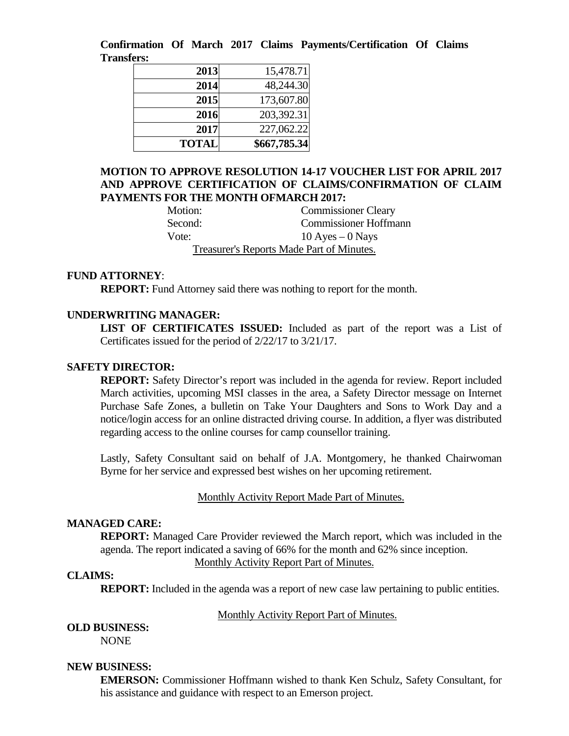**Confirmation Of March 2017 Claims Payments/Certification Of Claims Transfers:** 

| 2013         | 15,478.71    |
|--------------|--------------|
| 2014         | 48,244.30    |
| 2015         | 173,607.80   |
| 2016         | 203,392.31   |
| 2017         | 227,062.22   |
| <b>TOTAL</b> | \$667,785.34 |

# **MOTION TO APPROVE RESOLUTION 14-17 VOUCHER LIST FOR APRIL 2017 AND APPROVE CERTIFICATION OF CLAIMS/CONFIRMATION OF CLAIM PAYMENTS FOR THE MONTH OFMARCH 2017:**

| Motion: | <b>Commissioner Cleary</b>                |
|---------|-------------------------------------------|
| Second: | <b>Commissioner Hoffmann</b>              |
| Vote:   | $10$ Ayes $-0$ Nays                       |
|         | Treasurer's Reports Made Part of Minutes. |

### **FUND ATTORNEY**:

**REPORT:** Fund Attorney said there was nothing to report for the month.

#### **UNDERWRITING MANAGER:**

**LIST OF CERTIFICATES ISSUED:** Included as part of the report was a List of Certificates issued for the period of 2/22/17 to 3/21/17.

#### **SAFETY DIRECTOR:**

**REPORT:** Safety Director's report was included in the agenda for review. Report included March activities, upcoming MSI classes in the area, a Safety Director message on Internet Purchase Safe Zones, a bulletin on Take Your Daughters and Sons to Work Day and a notice/login access for an online distracted driving course. In addition, a flyer was distributed regarding access to the online courses for camp counsellor training.

Lastly, Safety Consultant said on behalf of J.A. Montgomery, he thanked Chairwoman Byrne for her service and expressed best wishes on her upcoming retirement.

#### Monthly Activity Report Made Part of Minutes.

### **MANAGED CARE:**

**REPORT:** Managed Care Provider reviewed the March report, which was included in the agenda. The report indicated a saving of 66% for the month and 62% since inception. Monthly Activity Report Part of Minutes.

#### **CLAIMS:**

**REPORT:** Included in the agenda was a report of new case law pertaining to public entities.

#### Monthly Activity Report Part of Minutes.

#### **OLD BUSINESS:**

NONE

#### **NEW BUSINESS:**

**EMERSON:** Commissioner Hoffmann wished to thank Ken Schulz, Safety Consultant, for his assistance and guidance with respect to an Emerson project.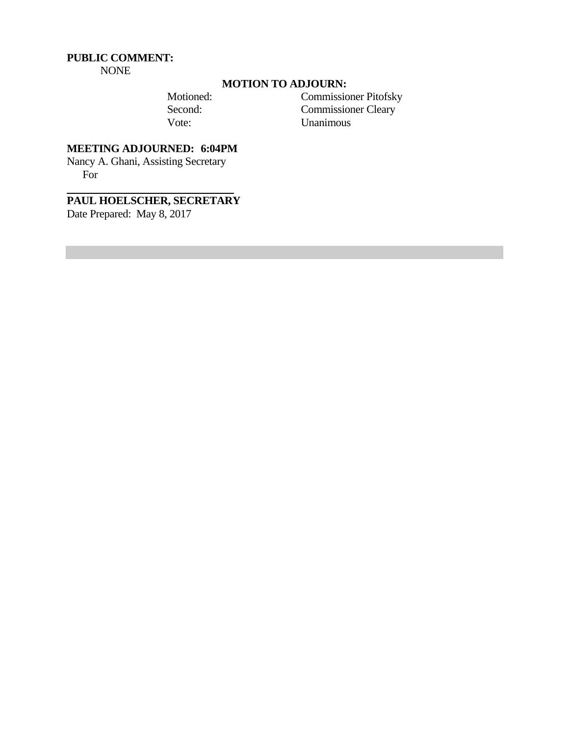#### **PUBLIC COMMENT:**  NONE

# **MOTION TO ADJOURN:**

 Motioned: Commissioner Pitofsky Second: Commissioner Cleary Vote: Unanimous

# **MEETING ADJOURNED: 6:04PM**

Nancy A. Ghani, Assisting Secretary For

# **PAUL HOELSCHER, SECRETARY**

Date Prepared: May 8, 2017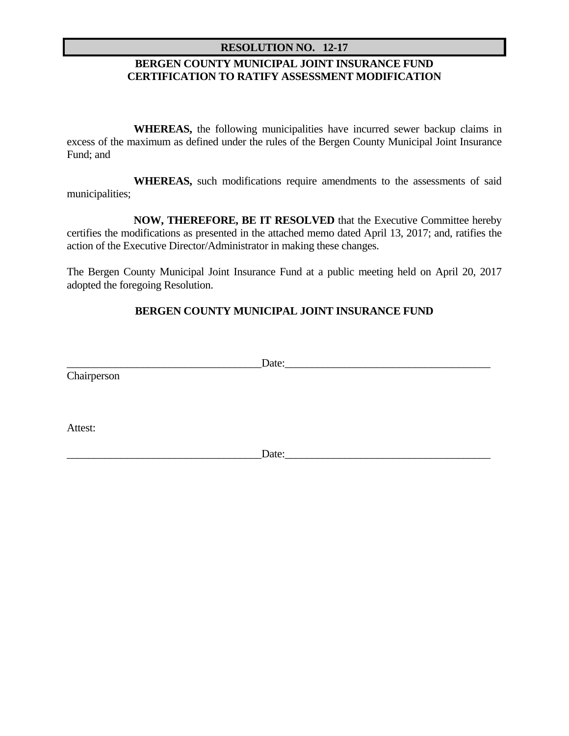### **RESOLUTION NO. 12-17**

# **BERGEN COUNTY MUNICIPAL JOINT INSURANCE FUND CERTIFICATION TO RATIFY ASSESSMENT MODIFICATION**

 **WHEREAS,** the following municipalities have incurred sewer backup claims in excess of the maximum as defined under the rules of the Bergen County Municipal Joint Insurance Fund; and

 **WHEREAS,** such modifications require amendments to the assessments of said municipalities;

 **NOW, THEREFORE, BE IT RESOLVED** that the Executive Committee hereby certifies the modifications as presented in the attached memo dated April 13, 2017; and, ratifies the action of the Executive Director/Administrator in making these changes.

The Bergen County Municipal Joint Insurance Fund at a public meeting held on April 20, 2017 adopted the foregoing Resolution.

# **BERGEN COUNTY MUNICIPAL JOINT INSURANCE FUND**

|             | Date: |  |
|-------------|-------|--|
| Chairperson |       |  |
|             |       |  |
|             |       |  |
| Attest:     |       |  |
|             | Date: |  |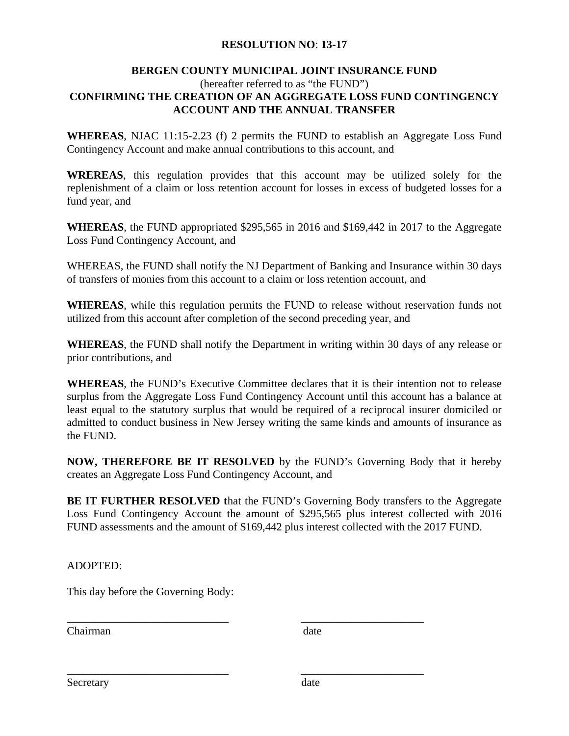# **RESOLUTION NO**: **13-17**

# **BERGEN COUNTY MUNICIPAL JOINT INSURANCE FUND**

# (hereafter referred to as "the FUND") **CONFIRMING THE CREATION OF AN AGGREGATE LOSS FUND CONTINGENCY ACCOUNT AND THE ANNUAL TRANSFER**

**WHEREAS**, NJAC 11:15-2.23 (f) 2 permits the FUND to establish an Aggregate Loss Fund Contingency Account and make annual contributions to this account, and

**WREREAS**, this regulation provides that this account may be utilized solely for the replenishment of a claim or loss retention account for losses in excess of budgeted losses for a fund year, and

**WHEREAS**, the FUND appropriated \$295,565 in 2016 and \$169,442 in 2017 to the Aggregate Loss Fund Contingency Account, and

WHEREAS, the FUND shall notify the NJ Department of Banking and Insurance within 30 days of transfers of monies from this account to a claim or loss retention account, and

**WHEREAS**, while this regulation permits the FUND to release without reservation funds not utilized from this account after completion of the second preceding year, and

**WHEREAS**, the FUND shall notify the Department in writing within 30 days of any release or prior contributions, and

**WHEREAS**, the FUND's Executive Committee declares that it is their intention not to release surplus from the Aggregate Loss Fund Contingency Account until this account has a balance at least equal to the statutory surplus that would be required of a reciprocal insurer domiciled or admitted to conduct business in New Jersey writing the same kinds and amounts of insurance as the FUND.

**NOW, THEREFORE BE IT RESOLVED** by the FUND's Governing Body that it hereby creates an Aggregate Loss Fund Contingency Account, and

**BE IT FURTHER RESOLVED t**hat the FUND's Governing Body transfers to the Aggregate Loss Fund Contingency Account the amount of \$295,565 plus interest collected with 2016 FUND assessments and the amount of \$169,442 plus interest collected with the 2017 FUND.

\_\_\_\_\_\_\_\_\_\_\_\_\_\_\_\_\_\_\_\_\_\_\_\_\_\_\_\_\_ \_\_\_\_\_\_\_\_\_\_\_\_\_\_\_\_\_\_\_\_\_\_

\_\_\_\_\_\_\_\_\_\_\_\_\_\_\_\_\_\_\_\_\_\_\_\_\_\_\_\_\_ \_\_\_\_\_\_\_\_\_\_\_\_\_\_\_\_\_\_\_\_\_\_

ADOPTED:

This day before the Governing Body:

Chairman date

Secretary date  $\alpha$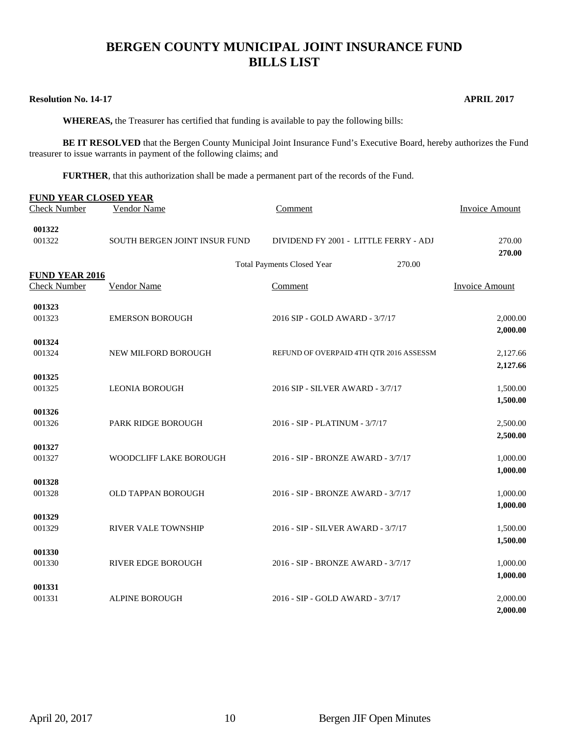# **BERGEN COUNTY MUNICIPAL JOINT INSURANCE FUND BILLS LIST**

#### **Resolution No. 14-17 APRIL 2017**

 **WHEREAS,** the Treasurer has certified that funding is available to pay the following bills:

**BE IT RESOLVED** that the Bergen County Municipal Joint Insurance Fund's Executive Board, hereby authorizes the Fund treasurer to issue warrants in payment of the following claims; and

**FURTHER**, that this authorization shall be made a permanent part of the records of the Fund.

| <b>FUND YEAR CLOSED YEAR</b><br><b>Check Number</b> | Vendor Name                   | Comment                                     | Invoice Amount        |
|-----------------------------------------------------|-------------------------------|---------------------------------------------|-----------------------|
| 001322<br>001322                                    | SOUTH BERGEN JOINT INSUR FUND | DIVIDEND FY 2001 - LITTLE FERRY - ADJ       | 270.00<br>270.00      |
|                                                     |                               | <b>Total Payments Closed Year</b><br>270.00 |                       |
| <b>FUND YEAR 2016</b><br><b>Check Number</b>        | Vendor Name                   | Comment                                     | <b>Invoice Amount</b> |
| 001323                                              |                               |                                             |                       |
| 001323                                              | <b>EMERSON BOROUGH</b>        | 2016 SIP - GOLD AWARD - 3/7/17              | 2,000.00<br>2,000.00  |
| 001324                                              |                               |                                             |                       |
| 001324                                              | NEW MILFORD BOROUGH           | REFUND OF OVERPAID 4TH QTR 2016 ASSESSM     | 2,127.66<br>2,127.66  |
| 001325                                              |                               |                                             |                       |
| 001325                                              | <b>LEONIA BOROUGH</b>         | 2016 SIP - SILVER AWARD - 3/7/17            | 1,500.00<br>1,500.00  |
| 001326                                              |                               |                                             |                       |
| 001326                                              | PARK RIDGE BOROUGH            | 2016 - SIP - PLATINUM - 3/7/17              | 2,500.00              |
| 001327                                              |                               |                                             | 2,500.00              |
| 001327                                              | WOODCLIFF LAKE BOROUGH        | 2016 - SIP - BRONZE AWARD - 3/7/17          | 1,000.00              |
|                                                     |                               |                                             | 1,000.00              |
| 001328<br>001328                                    | OLD TAPPAN BOROUGH            | 2016 - SIP - BRONZE AWARD - 3/7/17          | 1,000.00              |
|                                                     |                               |                                             | 1,000.00              |
| 001329                                              |                               |                                             |                       |
| 001329                                              | <b>RIVER VALE TOWNSHIP</b>    | 2016 - SIP - SILVER AWARD - 3/7/17          | 1,500.00<br>1,500.00  |
| 001330                                              |                               |                                             |                       |
| 001330                                              | <b>RIVER EDGE BOROUGH</b>     | 2016 - SIP - BRONZE AWARD - 3/7/17          | 1,000.00              |
| 001331                                              |                               |                                             | 1,000.00              |
| 001331                                              | <b>ALPINE BOROUGH</b>         | 2016 - SIP - GOLD AWARD - 3/7/17            | 2,000.00              |
|                                                     |                               |                                             | 2,000.00              |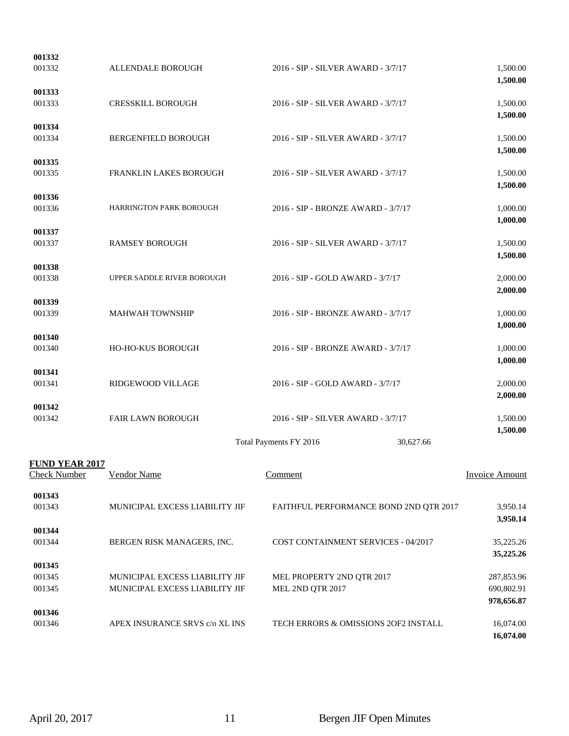| 001332                                       |                                                                  |                                               |           |                                                     |
|----------------------------------------------|------------------------------------------------------------------|-----------------------------------------------|-----------|-----------------------------------------------------|
| 001332                                       | ALLENDALE BOROUGH                                                | 2016 - SIP - SILVER AWARD - 3/7/17            |           | 1,500.00<br>1,500.00                                |
| 001333<br>001333                             | <b>CRESSKILL BOROUGH</b>                                         | 2016 - SIP - SILVER AWARD - 3/7/17            |           | 1,500.00<br>1,500.00                                |
| 001334<br>001334                             | BERGENFIELD BOROUGH                                              | 2016 - SIP - SILVER AWARD - 3/7/17            |           | 1,500.00<br>1,500.00                                |
| 001335<br>001335                             | FRANKLIN LAKES BOROUGH                                           | 2016 - SIP - SILVER AWARD - 3/7/17            |           | 1,500.00<br>1,500.00                                |
| 001336<br>001336                             | HARRINGTON PARK BOROUGH                                          | 2016 - SIP - BRONZE AWARD - 3/7/17            |           | 1,000.00<br>1,000.00                                |
| 001337<br>001337                             | <b>RAMSEY BOROUGH</b>                                            | 2016 - SIP - SILVER AWARD - 3/7/17            |           | 1,500.00<br>1,500.00                                |
| 001338<br>001338                             | UPPER SADDLE RIVER BOROUGH                                       | 2016 - SIP - GOLD AWARD - 3/7/17              |           | 2,000.00<br>2,000.00                                |
| 001339<br>001339                             | <b>MAHWAH TOWNSHIP</b>                                           | 2016 - SIP - BRONZE AWARD - 3/7/17            |           | 1,000.00                                            |
| 001340<br>001340                             | HO-HO-KUS BOROUGH                                                | 2016 - SIP - BRONZE AWARD - 3/7/17            |           | 1,000.00<br>1,000.00                                |
| 001341<br>001341                             | RIDGEWOOD VILLAGE                                                | 2016 - SIP - GOLD AWARD - 3/7/17              |           | 1,000.00<br>2,000.00                                |
| 001342<br>001342                             | FAIR LAWN BOROUGH                                                | 2016 - SIP - SILVER AWARD - 3/7/17            |           | 2,000.00<br>1,500.00                                |
|                                              |                                                                  | Total Payments FY 2016                        | 30,627.66 | 1,500.00                                            |
| <b>FUND YEAR 2017</b><br><b>Check Number</b> | <b>Vendor Name</b>                                               | <b>Comment</b>                                |           | <b>Invoice Amount</b>                               |
| 001343<br>001343                             | MUNICIPAL EXCESS LIABILITY JIF                                   | FAITHFUL PERFORMANCE BOND 2ND QTR 2017        |           | 3,950.14<br>3,950.14                                |
| 001344<br>001344                             | BERGEN RISK MANAGERS, INC.                                       | COST CONTAINMENT SERVICES - 04/2017           |           | 35,225.26                                           |
| 001345<br>001345<br>001345                   | MUNICIPAL EXCESS LIABILITY JIF<br>MUNICIPAL EXCESS LIABILITY JIF | MEL PROPERTY 2ND QTR 2017<br>MEL 2ND QTR 2017 |           | 35,225.26<br>287,853.96<br>690,802.91<br>978,656.87 |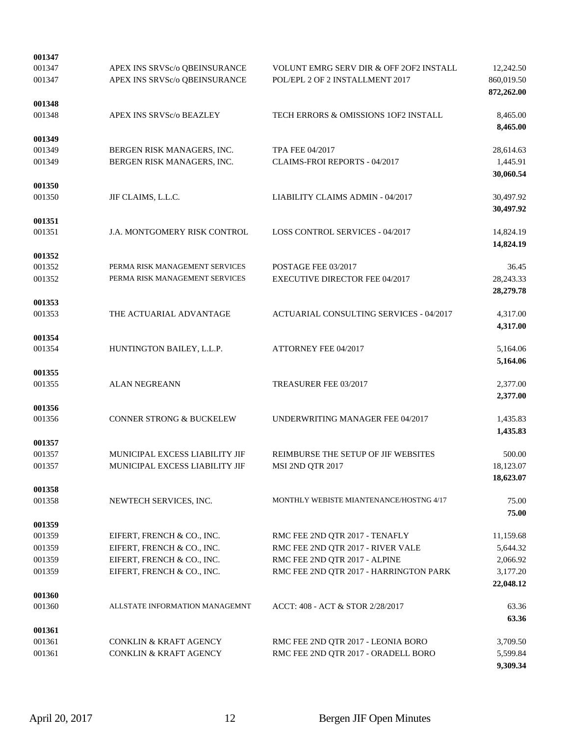| 001347           |                                     |                                                    |                        |
|------------------|-------------------------------------|----------------------------------------------------|------------------------|
| 001347           | APEX INS SRVSc/o QBEINSURANCE       | <b>VOLUNT EMRG SERV DIR &amp; OFF 20F2 INSTALL</b> | 12,242.50              |
| 001347           | APEX INS SRVSc/o QBEINSURANCE       | POL/EPL 2 OF 2 INSTALLMENT 2017                    | 860,019.50             |
|                  |                                     |                                                    | 872,262.00             |
| 001348           |                                     |                                                    |                        |
| 001348           | <b>APEX INS SRVSc/o BEAZLEY</b>     | TECH ERRORS & OMISSIONS 1OF2 INSTALL               | 8,465.00               |
|                  |                                     |                                                    | 8,465.00               |
| 001349           |                                     |                                                    |                        |
| 001349           | BERGEN RISK MANAGERS, INC.          | <b>TPA FEE 04/2017</b>                             | 28,614.63              |
| 001349           | BERGEN RISK MANAGERS, INC.          | CLAIMS-FROI REPORTS - 04/2017                      | 1,445.91               |
|                  |                                     |                                                    | 30,060.54              |
| 001350           |                                     |                                                    |                        |
| 001350           | JIF CLAIMS, L.L.C.                  | LIABILITY CLAIMS ADMIN - 04/2017                   | 30,497.92<br>30,497.92 |
| 001351           |                                     |                                                    |                        |
| 001351           | J.A. MONTGOMERY RISK CONTROL        | <b>LOSS CONTROL SERVICES - 04/2017</b>             | 14,824.19              |
|                  |                                     |                                                    | 14,824.19              |
| 001352           |                                     |                                                    |                        |
| 001352           | PERMA RISK MANAGEMENT SERVICES      | POSTAGE FEE 03/2017                                | 36.45                  |
| 001352           | PERMA RISK MANAGEMENT SERVICES      | <b>EXECUTIVE DIRECTOR FEE 04/2017</b>              | 28, 243. 33            |
|                  |                                     |                                                    | 28,279.78              |
| 001353           |                                     |                                                    |                        |
| 001353           | THE ACTUARIAL ADVANTAGE             | ACTUARIAL CONSULTING SERVICES - 04/2017            | 4,317.00               |
|                  |                                     |                                                    | 4,317.00               |
| 001354           |                                     |                                                    |                        |
| 001354           | HUNTINGTON BAILEY, L.L.P.           | ATTORNEY FEE 04/2017                               | 5,164.06               |
|                  |                                     |                                                    | 5,164.06               |
| 001355           |                                     |                                                    |                        |
| 001355           | <b>ALAN NEGREANN</b>                | TREASURER FEE 03/2017                              | 2,377.00               |
|                  |                                     |                                                    | 2,377.00               |
| 001356           |                                     |                                                    |                        |
| 001356           | <b>CONNER STRONG &amp; BUCKELEW</b> | UNDERWRITING MANAGER FEE 04/2017                   | 1,435.83               |
|                  |                                     |                                                    | 1,435.83               |
| 001357<br>001357 | MUNICIPAL EXCESS LIABILITY JIF      | REIMBURSE THE SETUP OF JIF WEBSITES                | 500.00                 |
| 001357           | MUNICIPAL EXCESS LIABILITY JIF      | MSI 2ND QTR 2017                                   | 18,123.07              |
|                  |                                     |                                                    | 18,623.07              |
| 001358           |                                     |                                                    |                        |
| 001358           | NEWTECH SERVICES, INC.              | MONTHLY WEBISTE MIANTENANCE/HOSTNG 4/17            | 75.00                  |
|                  |                                     |                                                    | 75.00                  |
| 001359           |                                     |                                                    |                        |
| 001359           | EIFERT, FRENCH & CO., INC.          | RMC FEE 2ND QTR 2017 - TENAFLY                     | 11,159.68              |
| 001359           | EIFERT, FRENCH & CO., INC.          | RMC FEE 2ND QTR 2017 - RIVER VALE                  | 5,644.32               |
| 001359           | EIFERT, FRENCH & CO., INC.          | RMC FEE 2ND QTR 2017 - ALPINE                      | 2,066.92               |
| 001359           | EIFERT, FRENCH & CO., INC.          | RMC FEE 2ND QTR 2017 - HARRINGTON PARK             | 3,177.20               |
|                  |                                     |                                                    | 22,048.12              |
| 001360           |                                     |                                                    |                        |
| 001360           | ALLSTATE INFORMATION MANAGEMNT      | ACCT: 408 - ACT & STOR 2/28/2017                   | 63.36                  |
|                  |                                     |                                                    | 63.36                  |
| 001361           |                                     |                                                    |                        |
| 001361           | <b>CONKLIN &amp; KRAFT AGENCY</b>   | RMC FEE 2ND QTR 2017 - LEONIA BORO                 | 3,709.50               |
| 001361           | <b>CONKLIN &amp; KRAFT AGENCY</b>   | RMC FEE 2ND QTR 2017 - ORADELL BORO                | 5,599.84               |
|                  |                                     |                                                    | 9,309.34               |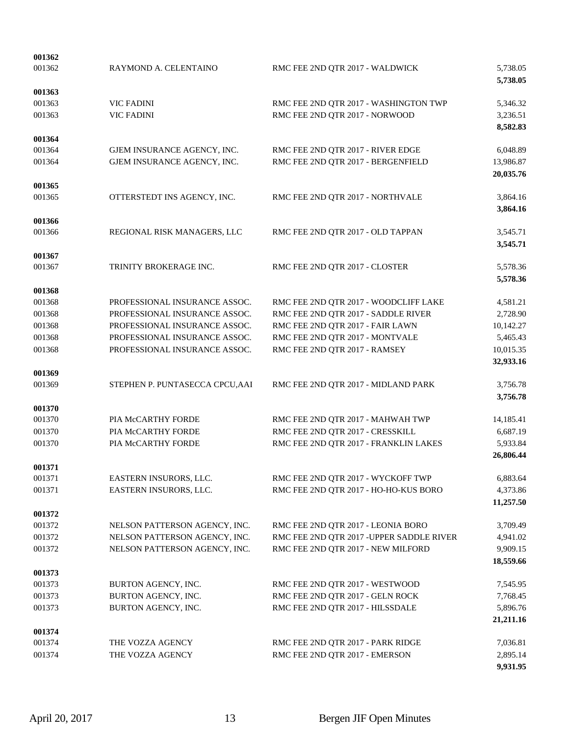| 001362           |                                            |                                                                              |                      |
|------------------|--------------------------------------------|------------------------------------------------------------------------------|----------------------|
| 001362           | RAYMOND A. CELENTAINO                      | RMC FEE 2ND QTR 2017 - WALDWICK                                              | 5,738.05<br>5,738.05 |
| 001363           |                                            |                                                                              |                      |
| 001363           | <b>VIC FADINI</b>                          | RMC FEE 2ND QTR 2017 - WASHINGTON TWP                                        | 5,346.32             |
| 001363           | <b>VIC FADINI</b>                          | RMC FEE 2ND QTR 2017 - NORWOOD                                               | 3,236.51             |
| 001364           |                                            |                                                                              | 8,582.83             |
| 001364           | GJEM INSURANCE AGENCY, INC.                | RMC FEE 2ND QTR 2017 - RIVER EDGE                                            | 6,048.89             |
| 001364           | GJEM INSURANCE AGENCY, INC.                | RMC FEE 2ND QTR 2017 - BERGENFIELD                                           | 13,986.87            |
|                  |                                            |                                                                              | 20,035.76            |
| 001365           |                                            |                                                                              |                      |
| 001365           | OTTERSTEDT INS AGENCY, INC.                | RMC FEE 2ND QTR 2017 - NORTHVALE                                             | 3,864.16             |
| 001366           |                                            |                                                                              | 3,864.16             |
| 001366           | REGIONAL RISK MANAGERS, LLC                | RMC FEE 2ND QTR 2017 - OLD TAPPAN                                            | 3,545.71             |
|                  |                                            |                                                                              | 3,545.71             |
| 001367           |                                            |                                                                              |                      |
| 001367           | TRINITY BROKERAGE INC.                     | RMC FEE 2ND QTR 2017 - CLOSTER                                               | 5,578.36             |
|                  |                                            |                                                                              | 5,578.36             |
| 001368<br>001368 | PROFESSIONAL INSURANCE ASSOC.              |                                                                              |                      |
| 001368           | PROFESSIONAL INSURANCE ASSOC.              | RMC FEE 2ND QTR 2017 - WOODCLIFF LAKE<br>RMC FEE 2ND QTR 2017 - SADDLE RIVER | 4,581.21<br>2,728.90 |
| 001368           | PROFESSIONAL INSURANCE ASSOC.              | RMC FEE 2ND QTR 2017 - FAIR LAWN                                             | 10,142.27            |
| 001368           | PROFESSIONAL INSURANCE ASSOC.              | RMC FEE 2ND QTR 2017 - MONTVALE                                              | 5,465.43             |
| 001368           | PROFESSIONAL INSURANCE ASSOC.              | RMC FEE 2ND QTR 2017 - RAMSEY                                                | 10,015.35            |
|                  |                                            |                                                                              | 32,933.16            |
| 001369           |                                            |                                                                              |                      |
| 001369           | STEPHEN P. PUNTASECCA CPCU, AAI            | RMC FEE 2ND QTR 2017 - MIDLAND PARK                                          | 3,756.78<br>3,756.78 |
| 001370           |                                            |                                                                              |                      |
| 001370           | PIA McCARTHY FORDE                         | RMC FEE 2ND QTR 2017 - MAHWAH TWP                                            | 14,185.41            |
| 001370           | PIA McCARTHY FORDE                         | RMC FEE 2ND QTR 2017 - CRESSKILL                                             | 6,687.19             |
| 001370           | PIA McCARTHY FORDE                         | RMC FEE 2ND QTR 2017 - FRANKLIN LAKES                                        | 5,933.84             |
|                  |                                            |                                                                              | 26,806.44            |
| 001371<br>001371 | EASTERN INSURORS, LLC.                     | RMC FEE 2ND QTR 2017 - WYCKOFF TWP                                           | 6,883.64             |
| 001371           | EASTERN INSURORS, LLC.                     | RMC FEE 2ND QTR 2017 - HO-HO-KUS BORO                                        | 4,373.86             |
|                  |                                            |                                                                              | 11,257.50            |
| 001372           |                                            |                                                                              |                      |
| 001372           | NELSON PATTERSON AGENCY, INC.              | RMC FEE 2ND QTR 2017 - LEONIA BORO                                           | 3,709.49             |
| 001372           | NELSON PATTERSON AGENCY, INC.              | RMC FEE 2ND QTR 2017 - UPPER SADDLE RIVER                                    | 4,941.02             |
| 001372           | NELSON PATTERSON AGENCY, INC.              | RMC FEE 2ND QTR 2017 - NEW MILFORD                                           | 9,909.15             |
|                  |                                            |                                                                              | 18,559.66            |
| 001373           |                                            |                                                                              |                      |
| 001373<br>001373 | BURTON AGENCY, INC.<br>BURTON AGENCY, INC. | RMC FEE 2ND QTR 2017 - WESTWOOD<br>RMC FEE 2ND QTR 2017 - GELN ROCK          | 7,545.95<br>7,768.45 |
| 001373           | BURTON AGENCY, INC.                        | RMC FEE 2ND QTR 2017 - HILSSDALE                                             | 5,896.76             |
|                  |                                            |                                                                              | 21,211.16            |
| 001374           |                                            |                                                                              |                      |
| 001374           | THE VOZZA AGENCY                           | RMC FEE 2ND QTR 2017 - PARK RIDGE                                            | 7,036.81             |
| 001374           | THE VOZZA AGENCY                           | RMC FEE 2ND QTR 2017 - EMERSON                                               | 2,895.14             |
|                  |                                            |                                                                              | 9,931.95             |